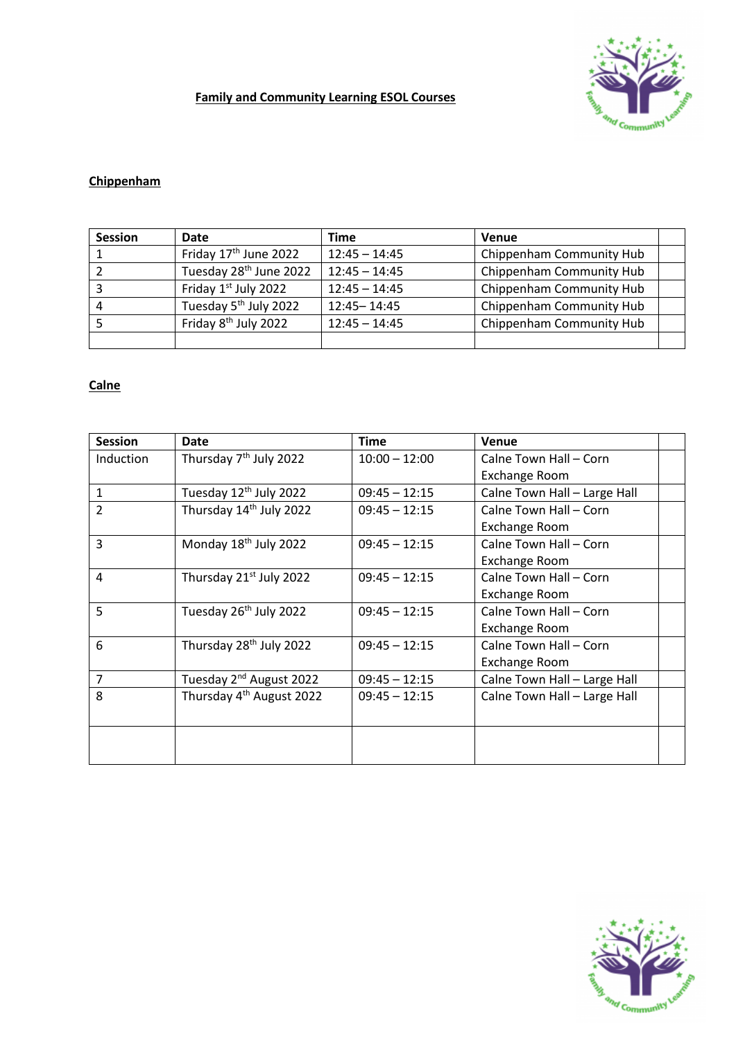# **Family and Community Learning ESOL Courses**



# **Chippenham**

| <b>Session</b> | Date                               | Time            | <b>Venue</b>             |  |
|----------------|------------------------------------|-----------------|--------------------------|--|
|                | Friday 17 <sup>th</sup> June 2022  | $12:45 - 14:45$ | Chippenham Community Hub |  |
|                | Tuesday 28 <sup>th</sup> June 2022 | $12:45 - 14:45$ | Chippenham Community Hub |  |
|                | Friday 1st July 2022               | $12:45 - 14:45$ | Chippenham Community Hub |  |
|                | Tuesday 5 <sup>th</sup> July 2022  | 12:45 - 14:45   | Chippenham Community Hub |  |
|                | Friday 8 <sup>th</sup> July 2022   | $12:45 - 14:45$ | Chippenham Community Hub |  |
|                |                                    |                 |                          |  |

### **Calne**

| <b>Session</b> | <b>Date</b>                          | <b>Time</b>     | <b>Venue</b>                 |
|----------------|--------------------------------------|-----------------|------------------------------|
| Induction      | Thursday 7 <sup>th</sup> July 2022   | $10:00 - 12:00$ | Calne Town Hall - Corn       |
|                |                                      |                 | <b>Exchange Room</b>         |
| $\mathbf{1}$   | Tuesday 12 <sup>th</sup> July 2022   | $09:45 - 12:15$ | Calne Town Hall - Large Hall |
| $\overline{2}$ | Thursday 14th July 2022              | $09:45 - 12:15$ | Calne Town Hall - Corn       |
|                |                                      |                 | Exchange Room                |
| 3              | Monday 18 <sup>th</sup> July 2022    | $09:45 - 12:15$ | Calne Town Hall - Corn       |
|                |                                      |                 | Exchange Room                |
| 4              | Thursday 21 <sup>st</sup> July 2022  | $09:45 - 12:15$ | Calne Town Hall - Corn       |
|                |                                      |                 | Exchange Room                |
| 5              | Tuesday 26 <sup>th</sup> July 2022   | $09:45 - 12:15$ | Calne Town Hall - Corn       |
|                |                                      |                 | <b>Exchange Room</b>         |
| 6              | Thursday 28 <sup>th</sup> July 2022  | $09:45 - 12:15$ | Calne Town Hall - Corn       |
|                |                                      |                 | Exchange Room                |
| $\overline{7}$ | Tuesday 2 <sup>nd</sup> August 2022  | $09:45 - 12:15$ | Calne Town Hall - Large Hall |
| 8              | Thursday 4 <sup>th</sup> August 2022 | $09:45 - 12:15$ | Calne Town Hall - Large Hall |
|                |                                      |                 |                              |
|                |                                      |                 |                              |
|                |                                      |                 |                              |
|                |                                      |                 |                              |

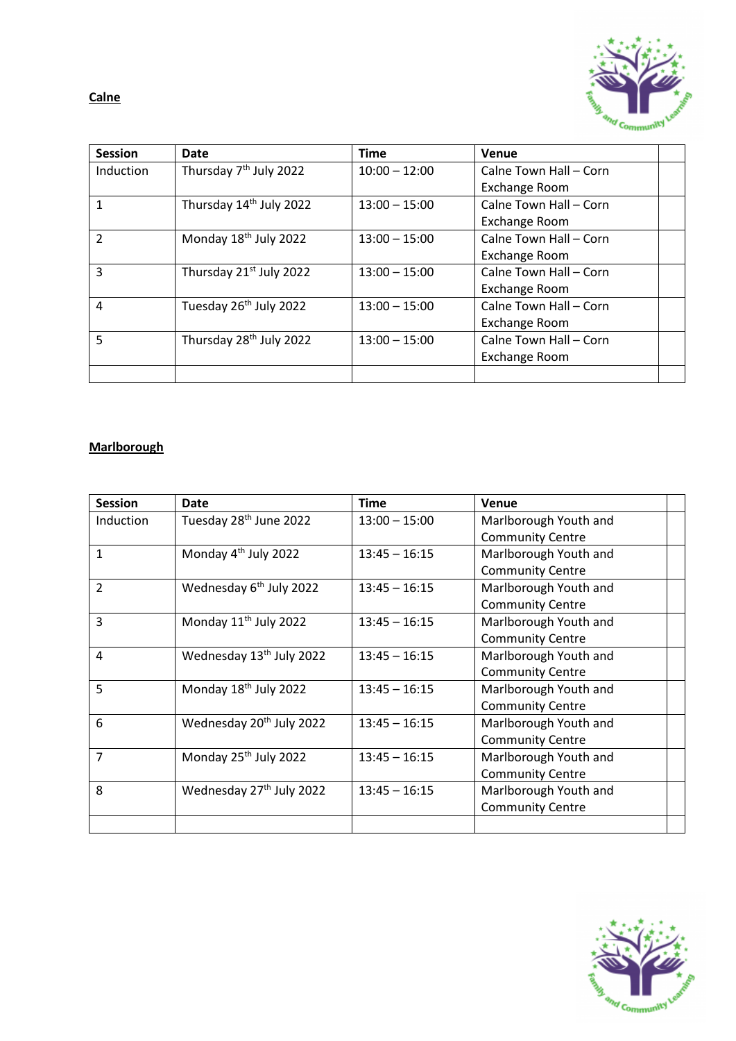**Calne**



| <b>Session</b> | <b>Date</b>                         | <b>Time</b>     | Venue                  |  |
|----------------|-------------------------------------|-----------------|------------------------|--|
| Induction      | Thursday 7 <sup>th</sup> July 2022  | $10:00 - 12:00$ | Calne Town Hall - Corn |  |
|                |                                     |                 | Exchange Room          |  |
| 1              | Thursday 14th July 2022             | $13:00 - 15:00$ | Calne Town Hall - Corn |  |
|                |                                     |                 | Exchange Room          |  |
| $\overline{2}$ | Monday 18th July 2022               | $13:00 - 15:00$ | Calne Town Hall - Corn |  |
|                |                                     |                 | Exchange Room          |  |
| 3              | Thursday 21 <sup>st</sup> July 2022 | $13:00 - 15:00$ | Calne Town Hall - Corn |  |
|                |                                     |                 | Exchange Room          |  |
| 4              | Tuesday 26 <sup>th</sup> July 2022  | $13:00 - 15:00$ | Calne Town Hall - Corn |  |
|                |                                     |                 | Exchange Room          |  |
| 5              | Thursday 28 <sup>th</sup> July 2022 | $13:00 - 15:00$ | Calne Town Hall - Corn |  |
|                |                                     |                 | Exchange Room          |  |
|                |                                     |                 |                        |  |

# **Marlborough**

| <b>Session</b>   | Date                                 | <b>Time</b>     | <b>Venue</b>            |  |
|------------------|--------------------------------------|-----------------|-------------------------|--|
| <b>Induction</b> | Tuesday 28 <sup>th</sup> June 2022   | $13:00 - 15:00$ | Marlborough Youth and   |  |
|                  |                                      |                 | <b>Community Centre</b> |  |
| $\mathbf{1}$     | Monday 4 <sup>th</sup> July 2022     | $13:45 - 16:15$ | Marlborough Youth and   |  |
|                  |                                      |                 | <b>Community Centre</b> |  |
| $\overline{2}$   | Wednesday 6 <sup>th</sup> July 2022  | $13:45 - 16:15$ | Marlborough Youth and   |  |
|                  |                                      |                 | <b>Community Centre</b> |  |
| 3                | Monday 11 <sup>th</sup> July 2022    | $13:45 - 16:15$ | Marlborough Youth and   |  |
|                  |                                      |                 | <b>Community Centre</b> |  |
| 4                | Wednesday 13 <sup>th</sup> July 2022 | $13:45 - 16:15$ | Marlborough Youth and   |  |
|                  |                                      |                 | <b>Community Centre</b> |  |
| 5                | Monday 18th July 2022                | $13:45 - 16:15$ | Marlborough Youth and   |  |
|                  |                                      |                 | <b>Community Centre</b> |  |
| 6                | Wednesday 20 <sup>th</sup> July 2022 | $13:45 - 16:15$ | Marlborough Youth and   |  |
|                  |                                      |                 | <b>Community Centre</b> |  |
| $\overline{7}$   | Monday 25 <sup>th</sup> July 2022    | $13:45 - 16:15$ | Marlborough Youth and   |  |
|                  |                                      |                 | <b>Community Centre</b> |  |
| 8                | Wednesday 27 <sup>th</sup> July 2022 | $13:45 - 16:15$ | Marlborough Youth and   |  |
|                  |                                      |                 | <b>Community Centre</b> |  |
|                  |                                      |                 |                         |  |